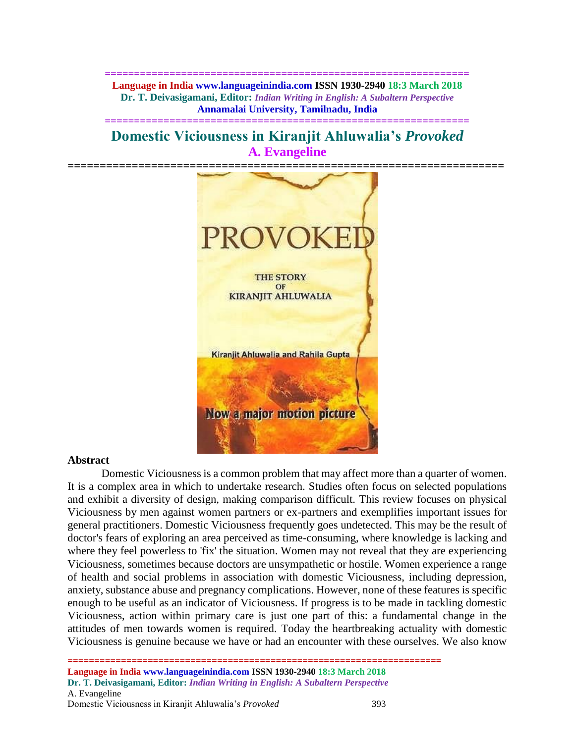**============================================================== Language in India www.languageinindia.com ISSN 1930-2940 18:3 March 2018 Dr. T. Deivasigamani, Editor:** *Indian Writing in English: A Subaltern Perspective* **Annamalai University, Tamilnadu, India**

**Domestic Viciousness in Kiranjit Ahluwalia's** *Provoked* **A. Evangeline**

**==============================================================**



### **Abstract**

Domestic Viciousness is a common problem that may affect more than a quarter of women. It is a complex area in which to undertake research. Studies often focus on selected populations and exhibit a diversity of design, making comparison difficult. This review focuses on physical Viciousness by men against women partners or ex-partners and exemplifies important issues for general practitioners. Domestic Viciousness frequently goes undetected. This may be the result of doctor's fears of exploring an area perceived as time-consuming, where knowledge is lacking and where they feel powerless to 'fix' the situation. Women may not reveal that they are experiencing Viciousness, sometimes because doctors are unsympathetic or hostile. Women experience a range of health and social problems in association with domestic Viciousness, including depression, anxiety, substance abuse and pregnancy complications. However, none of these features is specific enough to be useful as an indicator of Viciousness. If progress is to be made in tackling domestic Viciousness, action within primary care is just one part of this: a fundamental change in the attitudes of men towards women is required. Today the heartbreaking actuality with domestic Viciousness is genuine because we have or had an encounter with these ourselves. We also know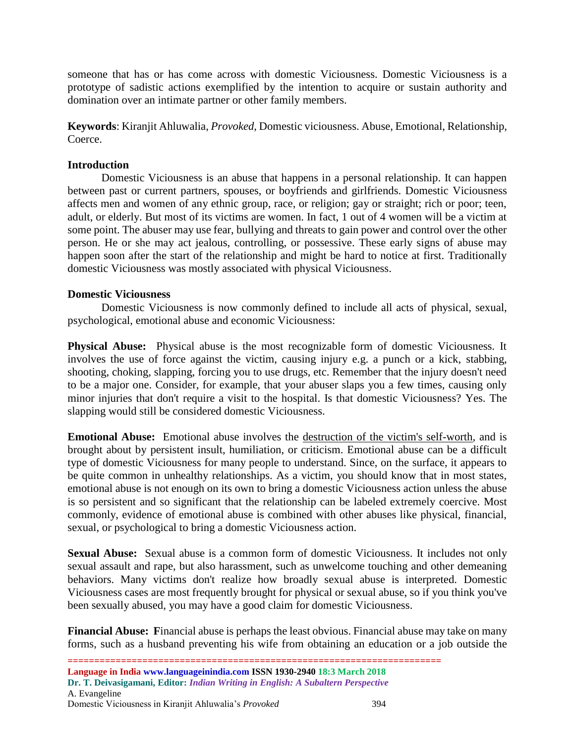someone that has or has come across with domestic Viciousness. Domestic Viciousness is a prototype of sadistic actions exemplified by the intention to acquire or sustain authority and domination over an intimate partner or other family members.

**Keywords**: Kiranjit Ahluwalia, *Provoked*, Domestic viciousness. Abuse, Emotional, Relationship, Coerce.

## **Introduction**

[Domestic Viciousness](https://www.webmd.com/mental-health/tc/domestic-violence-topic-overview) is an abuse that happens in a personal relationship. It can happen between past or current partners, spouses, or boyfriends and girlfriends. Domestic Viciousness affects men and women of any ethnic group, race, or religion; gay or straight; rich or poor; teen, adult, or elderly. But most of its victims are women. In fact, 1 out of 4 women will be a victim at some point. The abuser may use fear, [bullying](https://www.webmd.com/parenting/features/prevent-cyberbullying-and-school-bullying) and threats to gain power and control over the other person. He or she may act jealous, controlling, or possessive. These early signs of abuse may happen soon after the start of the relationship and might be hard to notice at first. Traditionally domestic Viciousness was mostly associated with physical Viciousness.

## **Domestic Viciousness**

Domestic Viciousness is now commonly defined to include all acts of physical, sexual, psychological, emotional abuse and economic Viciousness:

**Physical Abuse:** Physical abuse is the most recognizable form of domestic Viciousness. It involves the use of force against the victim, causing injury e.g. a punch or a kick, stabbing, shooting, choking, slapping, forcing you to use drugs, etc. Remember that the injury doesn't need to be a major one. Consider, for example, that your abuser slaps you a few times, causing only minor injuries that don't require a visit to the hospital. Is that domestic Viciousness? Yes. The slapping would still be considered domestic Viciousness.

**Emotional Abuse:** Emotional abuse involves the [destruction of the victim's self-worth,](http://www.stopvaw.org/forms_of_domestic_violence) and is brought about by persistent insult, humiliation, or criticism. Emotional abuse can be a difficult type of domestic Viciousness for many people to understand. Since, on the surface, it appears to be quite common in unhealthy relationships. As a victim, you should know that in most states, emotional abuse is not enough on its own to bring a domestic Viciousness action unless the abuse is so persistent and so significant that the relationship can be labeled extremely coercive. Most commonly, evidence of emotional abuse is combined with other abuses like physical, financial, sexual, or psychological to bring a domestic Viciousness action.

**Sexual Abuse:** Sexual abuse is a common form of domestic Viciousness. It includes not only sexual assault and rape, but also harassment, such as unwelcome touching and other demeaning behaviors. Many victims don't realize how broadly sexual abuse is interpreted. Domestic Viciousness cases are most frequently brought for physical or sexual abuse, so if you think you've been sexually abused, you may have a good claim for domestic Viciousness.

**Financial Abuse: F**inancial abuse is perhaps the least obvious. Financial abuse may take on many forms, such as a husband preventing his wife from obtaining an education or a job outside the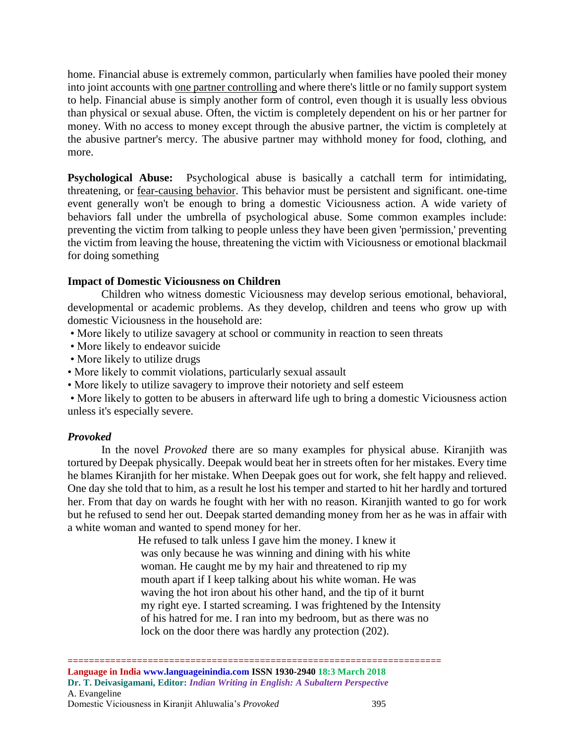home. Financial abuse is extremely common, particularly when families have pooled their money into joint accounts with [one partner controlling](http://www.doorwaysva.org/domestic-violence/the_facts_about_domestic_violence/types-of-domestic-violence/) and where there's little or no family support system to help. Financial abuse is simply another form of control, even though it is usually less obvious than physical or sexual abuse. Often, the victim is completely dependent on his or her partner for money. With no access to money except through the abusive partner, the victim is completely at the abusive partner's mercy. The abusive partner may withhold money for food, clothing, and more.

**Psychological Abuse:** Psychological abuse is basically a catchall term for intimidating, threatening, or [fear-causing](http://www.ovw.usdoj.gov/domviolence.htm) behavior. This behavior must be persistent and significant. one-time event generally won't be enough to bring a domestic Viciousness action. A wide variety of behaviors fall under the umbrella of psychological abuse. Some common examples include: preventing the victim from talking to people unless they have been given 'permission,' preventing the victim from leaving the house, threatening the victim with Viciousness or emotional blackmail for doing something

# **Impact of Domestic Viciousness on Children**

Children who witness domestic Viciousness may develop serious emotional, behavioral, developmental or academic problems. As they develop, children and teens who grow up with domestic Viciousness in the household are:

- More likely to utilize savagery at school or community in reaction to seen threats
- More likely to endeavor suicide
- More likely to utilize drugs
- More likely to commit violations, particularly sexual assault
- More likely to utilize savagery to improve their notoriety and self esteem

• More likely to gotten to be abusers in afterward life ugh to bring a domestic Viciousness action unless it's especially severe.

### *Provoked*

In the novel *Provoked* there are so many examples for physical abuse. Kiranjith was tortured by Deepak physically. Deepak would beat her in streets often for her mistakes. Every time he blames Kiranjith for her mistake. When Deepak goes out for work, she felt happy and relieved. One day she told that to him, as a result he lost his temper and started to hit her hardly and tortured her. From that day on wards he fought with her with no reason. Kiranjith wanted to go for work but he refused to send her out. Deepak started demanding money from her as he was in affair with a white woman and wanted to spend money for her.

> He refused to talk unless I gave him the money. I knew it was only because he was winning and dining with his white woman. He caught me by my hair and threatened to rip my mouth apart if I keep talking about his white woman. He was waving the hot iron about his other hand, and the tip of it burnt my right eye. I started screaming. I was frightened by the Intensity of his hatred for me. I ran into my bedroom, but as there was no lock on the door there was hardly any protection (202).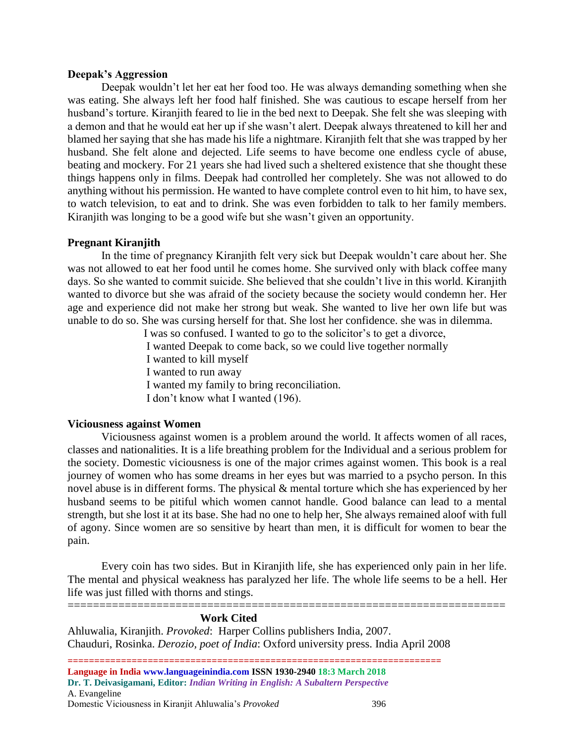### **Deepak's Aggression**

Deepak wouldn't let her eat her food too. He was always demanding something when she was eating. She always left her food half finished. She was cautious to escape herself from her husband's torture. Kiranjith feared to lie in the bed next to Deepak. She felt she was sleeping with a demon and that he would eat her up if she wasn't alert. Deepak always threatened to kill her and blamed her saying that she has made his life a nightmare. Kiranjith felt that she was trapped by her husband. She felt alone and dejected. Life seems to have become one endless cycle of abuse, beating and mockery. For 21 years she had lived such a sheltered existence that she thought these things happens only in films. Deepak had controlled her completely. She was not allowed to do anything without his permission. He wanted to have complete control even to hit him, to have sex, to watch television, to eat and to drink. She was even forbidden to talk to her family members. Kiranjith was longing to be a good wife but she wasn't given an opportunity.

### **Pregnant Kiranjith**

In the time of pregnancy Kiranjith felt very sick but Deepak wouldn't care about her. She was not allowed to eat her food until he comes home. She survived only with black coffee many days. So she wanted to commit suicide. She believed that she couldn't live in this world. Kiranjith wanted to divorce but she was afraid of the society because the society would condemn her. Her age and experience did not make her strong but weak. She wanted to live her own life but was unable to do so. She was cursing herself for that. She lost her confidence. she was in dilemma.

> I was so confused. I wanted to go to the solicitor's to get a divorce, I wanted Deepak to come back, so we could live together normally I wanted to kill myself I wanted to run away I wanted my family to bring reconciliation. I don't know what I wanted (196).

### **Viciousness against Women**

Viciousness against women is a problem around the world. It affects women of all races, classes and nationalities. It is a life breathing problem for the Individual and a serious problem for the society. Domestic viciousness is one of the major crimes against women. This book is a real journey of women who has some dreams in her eyes but was married to a psycho person. In this novel abuse is in different forms. The physical & mental torture which she has experienced by her husband seems to be pitiful which women cannot handle. Good balance can lead to a mental strength, but she lost it at its base. She had no one to help her, She always remained aloof with full of agony. Since women are so sensitive by heart than men, it is difficult for women to bear the pain.

Every coin has two sides. But in Kiranjith life, she has experienced only pain in her life. The mental and physical weakness has paralyzed her life. The whole life seems to be a hell. Her life was just filled with thorns and stings.

=====================================================================

#### **Work Cited**

Ahluwalia, Kiranjith. *Provoked*: Harper Collins publishers India, 2007. Chauduri, Rosinka. *Derozio, poet of India*: Oxford university press. India April 2008

**====================================================================== Language in India www.languageinindia.com ISSN 1930-2940 18:3 March 2018 Dr. T. Deivasigamani, Editor:** *Indian Writing in English: A Subaltern Perspective* A. Evangeline Domestic Viciousness in Kiranjit Ahluwalia's *Provoked* 396